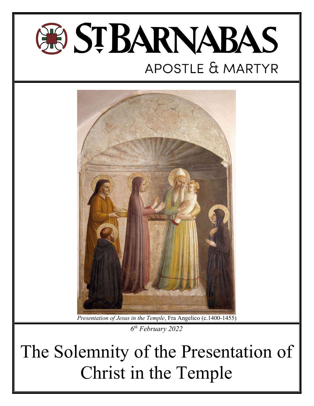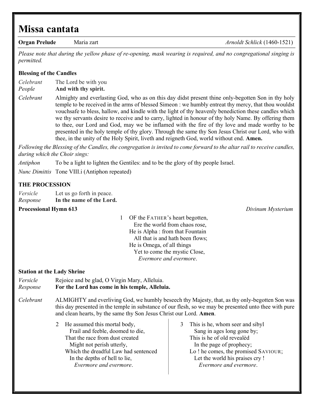# Missa cantata

Organ Prelude Maria zart Arnoldt Schlick (1460-1521)

Please note that during the yellow phase of re-opening, mask wearing is required, and no congregational singing is permitted.

# Blessing of the Candles

Celebrant The Lord be with you People And with thy spirit.

Celebrant Almighty and everlasting God, who as on this day didst present thine only-begotten Son in thy holy temple to be received in the arms of blessed Simeon : we humbly entreat thy mercy, that thou wouldst vouchsafe to bless, hallow, and kindle with the light of thy heavenly benediction these candles which we thy servants desire to receive and to carry, lighted in honour of thy holy Name. By offering them to thee, our Lord and God, may we be inflamed with the fire of thy love and made worthy to be presented in the holy temple of thy glory. Through the same thy Son Jesus Christ our Lord, who with thee, in the unity of the Holy Spirit, liveth and reigneth God, world without end. Amen.

Following the Blessing of the Candles, the congregation is invited to come forward to the altar rail to receive candles, during which the Choir sings:

Antiphon To be a light to lighten the Gentiles: and to be the glory of thy people Israel.

Nunc Dimittis Tone VIII.i (Antiphon repeated)

 In the depths of hell to lie, Evermore and evermore.

# THE PROCESSION

| Versicle | Let us go forth in peace. |
|----------|---------------------------|
| Response | In the name of the Lord.  |

# **Processional Hymn 613** Divinum Mysterium **Divinum Mysterium**

1 OF the FATHER's heart begotten, Ere the world from chaos rose, He is Alpha : from that Fountain All that is and hath been flows; He is Omega, of all things Yet to come the mystic Close, Evermore and evermore.

# Station at the Lady Shrine

Versicle Rejoice and be glad, O Virgin Mary, Alleluia. Response For the Lord has come in his temple, Alleluia. Celebrant ALMIGHTY and everliving God, we humbly beseech thy Majesty, that, as thy only-begotten Son was this day presented in the temple in substance of our flesh, so we may be presented unto thee with pure and clean hearts, by the same thy Son Jesus Christ our Lord. Amen. 2 He assumed this mortal body, Frail and feeble, doomed to die, That the race from dust created Might not perish utterly, Which the dreadful Law had sentenced 3 This is he, whom seer and sibyl Sang in ages long gone by; This is he of old revealèd In the page of prophecy; Lo ! he comes, the promised SAVIOUR;

 Let the world his praises cry ! Evermore and evermore.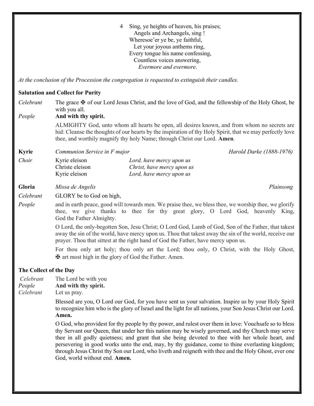4 Sing, ye heights of heaven, his praises; Angels and Archangels, sing ! Wheresoe'er ye be, ye faithful, Let your joyous anthems ring, Every tongue his name confessing, Countless voices answering, Evermore and evermore.

At the conclusion of the Procession the congregation is requested to extinguish their candles.

### Salutation and Collect for Purity

Celebrant The grace  $\mathbf{\Psi}$  of our Lord Jesus Christ, and the love of God, and the fellowship of the Holy Ghost, be with you all. People And with thy spirit. ALMIGHTY God, unto whom all hearts be open, all desires known, and from whom no secrets are hid: Cleanse the thoughts of our hearts by the inspiration of thy Holy Spirit, that we may perfectly love thee, and worthily magnify thy holy Name; through Christ our Lord. Amen. Kyrie Communion Service in F major Communion Service in F major Annual Communion Service in F major Communion Choir Kyrie eleison Lord, have mercy upon us Christe eleison Christ, have mercy upon us Kyrie eleison Lord, have mercy upon us Gloria Missa de Angelis Plainsong Celebrant GLORY be to God on high, People and in earth peace, good will towards men. We praise thee, we bless thee, we worship thee, we glorify thee, we give thanks to thee for thy great glory, O Lord God, heavenly King, God the Father Almighty. O Lord, the only-begotten Son, Jesu Christ; O Lord God, Lamb of God, Son of the Father, that takest away the sin of the world, have mercy upon us. Thou that takest away the sin of the world, receive our prayer. Thou that sittest at the right hand of God the Father, have mercy upon us. For thou only art holy; thou only art the Lord; thou only, O Christ, with the Holy Ghost, ✠ art most high in the glory of God the Father. Amen. The Collect of the Day Celebrant The Lord be with you People And with thy spirit. Celebrant Let us pray. Blessed are you, O Lord our God, for you have sent us your salvation. Inspire us by your Holy Spirit to recognize him who is the glory of Israel and the light for all nations, your Son Jesus Christ our Lord. Amen. O God, who providest for thy people by thy power, and rulest over them in love: Vouchsafe so to bless thy Servant our Queen, that under her this nation may be wisely governed, and thy Church may serve thee in all godly quietness; and grant that she being devoted to thee with her whole heart, and persevering in good works unto the end, may, by thy guidance, come to thine everlasting kingdom; through Jesus Christ thy Son our Lord, who liveth and reigneth with thee and the Holy Ghost, ever one God, world without end. Amen.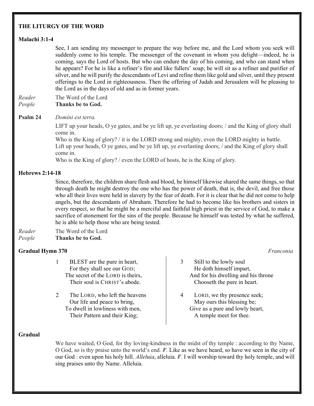# THE LITURGY OF THE WORD

# Malachi 3:1-4

 See, I am sending my messenger to prepare the way before me, and the Lord whom you seek will suddenly come to his temple. The messenger of the covenant in whom you delight—indeed, he is coming, says the Lord of hosts. But who can endure the day of his coming, and who can stand when he appears? For he is like a refiner's fire and like fullers' soap; he will sit as a refiner and purifier of silver, and he will purify the descendants of Levi and refine them like gold and silver, until they present offerings to the Lord in righteousness. Then the offering of Judah and Jerusalem will be pleasing to the Lord as in the days of old and as in former years.

Reader The Word of the Lord People Thanks be to God.

Psalm 24 Domini est terra.

LIFT up your heads, O ye gates, and be ye lift up, ye everlasting doors; / and the King of glory shall come in.

Who is the King of glory? *i* it is the LORD strong and mighty, even the LORD mighty in battle. Lift up your heads, O ye gates, and be ye lift up, ye everlasting doors; / and the King of glory shall come in.

Who is the King of glory? / even the LORD of hosts, he is the King of glory.

# Hebrews 2:14-18

 Since, therefore, the children share flesh and blood, he himself likewise shared the same things, so that through death he might destroy the one who has the power of death, that is, the devil, and free those who all their lives were held in slavery by the fear of death. For it is clear that he did not come to help angels, but the descendants of Abraham. Therefore he had to become like his brothers and sisters in every respect, so that he might be a merciful and faithful high priest in the service of God, to make a sacrifice of atonement for the sins of the people. Because he himself was tested by what he suffered, he is able to help those who are being tested.

Reader The Word of the Lord People Thanks be to God.

# Gradual Hymn 370 Franconia

- 1 BLEST are the pure in heart, For they shall see our GOD; The secret of the LORD is theirs, Their soul is CHRIST's abode.
- 2 The LORD, who left the heavens Our life and peace to bring, To dwell in lowliness with men, Their Pattern and their King;

3 Still to the lowly soul He doth himself impart, And for his dwelling and his throne Chooseth the pure in heart.

4 LORD, we thy presence seek; May ours this blessing be; Give us a pure and lowly heart, A temple meet for thee.

# Gradual

 We have waited, O God, for thy loving-kindness in the midst of thy temple : according to thy Name, O God, so is thy praise unto the world's end.  $\mathbb{V}$ . Like as we have heard, so have we seen in the city of our God : even upon his holy hill. *Alleluia*, alleluia.  $V$ . I will worship toward thy holy temple, and will sing praises unto thy Name. Alleluia.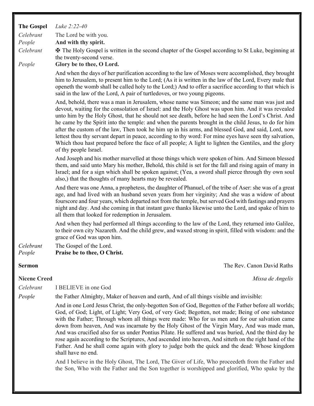| <b>The Gospel</b>   | Luke 2:22-40                                                                                                                                                                                                                                                                                                                                                                                                                                                                                                                                                                                                                                                                                                                                                                                                                                           |
|---------------------|--------------------------------------------------------------------------------------------------------------------------------------------------------------------------------------------------------------------------------------------------------------------------------------------------------------------------------------------------------------------------------------------------------------------------------------------------------------------------------------------------------------------------------------------------------------------------------------------------------------------------------------------------------------------------------------------------------------------------------------------------------------------------------------------------------------------------------------------------------|
| Celebrant           | The Lord be with you.                                                                                                                                                                                                                                                                                                                                                                                                                                                                                                                                                                                                                                                                                                                                                                                                                                  |
| People              | And with thy spirit.                                                                                                                                                                                                                                                                                                                                                                                                                                                                                                                                                                                                                                                                                                                                                                                                                                   |
| Celebrant           | <b><math>\overline{H}</math></b> The Holy Gospel is written in the second chapter of the Gospel according to St Luke, beginning at<br>the twenty-second verse.                                                                                                                                                                                                                                                                                                                                                                                                                                                                                                                                                                                                                                                                                         |
| People              | Glory be to thee, O Lord.                                                                                                                                                                                                                                                                                                                                                                                                                                                                                                                                                                                                                                                                                                                                                                                                                              |
|                     | And when the days of her purification according to the law of Moses were accomplished, they brought<br>him to Jerusalem, to present him to the Lord; (As it is written in the law of the Lord, Every male that<br>openeth the womb shall be called holy to the Lord;) And to offer a sacrifice according to that which is<br>said in the law of the Lord, A pair of turtledoves, or two young pigeons.                                                                                                                                                                                                                                                                                                                                                                                                                                                 |
|                     | And, behold, there was a man in Jerusalem, whose name was Simeon; and the same man was just and<br>devout, waiting for the consolation of Israel: and the Holy Ghost was upon him. And it was revealed<br>unto him by the Holy Ghost, that he should not see death, before he had seen the Lord's Christ. And<br>he came by the Spirit into the temple: and when the parents brought in the child Jesus, to do for him<br>after the custom of the law, Then took he him up in his arms, and blessed God, and said, Lord, now<br>lettest thou thy servant depart in peace, according to thy word: For mine eyes have seen thy salvation,<br>Which thou hast prepared before the face of all people; A light to lighten the Gentiles, and the glory<br>of thy people Israel.                                                                             |
|                     | And Joseph and his mother marvelled at those things which were spoken of him. And Simeon blessed<br>them, and said unto Mary his mother, Behold, this child is set for the fall and rising again of many in<br>Israel; and for a sign which shall be spoken against; (Yea, a sword shall pierce through thy own soul<br>also,) that the thoughts of many hearts may be revealed.                                                                                                                                                                                                                                                                                                                                                                                                                                                                       |
|                     | And there was one Anna, a prophetess, the daughter of Phanuel, of the tribe of Aser: she was of a great<br>age, and had lived with an husband seven years from her virginity; And she was a widow of about<br>fourscore and four years, which departed not from the temple, but served God with fastings and prayers<br>night and day. And she coming in that instant gave thanks likewise unto the Lord, and spake of him to<br>all them that looked for redemption in Jerusalem.                                                                                                                                                                                                                                                                                                                                                                     |
|                     | And when they had performed all things according to the law of the Lord, they returned into Galilee,<br>to their own city Nazareth. And the child grew, and waxed strong in spirit, filled with wisdom: and the<br>grace of God was upon him.                                                                                                                                                                                                                                                                                                                                                                                                                                                                                                                                                                                                          |
| Celebrant<br>People | The Gospel of the Lord.<br>Praise be to thee, O Christ.                                                                                                                                                                                                                                                                                                                                                                                                                                                                                                                                                                                                                                                                                                                                                                                                |
| <b>Sermon</b>       | The Rev. Canon David Raths                                                                                                                                                                                                                                                                                                                                                                                                                                                                                                                                                                                                                                                                                                                                                                                                                             |
| <b>Nicene Creed</b> | Missa de Angelis                                                                                                                                                                                                                                                                                                                                                                                                                                                                                                                                                                                                                                                                                                                                                                                                                                       |
| Celebrant           | I BELIEVE in one God                                                                                                                                                                                                                                                                                                                                                                                                                                                                                                                                                                                                                                                                                                                                                                                                                                   |
| People              | the Father Almighty, Maker of heaven and earth, And of all things visible and invisible:                                                                                                                                                                                                                                                                                                                                                                                                                                                                                                                                                                                                                                                                                                                                                               |
|                     | And in one Lord Jesus Christ, the only-begotten Son of God, Begotten of the Father before all worlds;<br>God, of God; Light, of Light; Very God, of very God; Begotten, not made; Being of one substance<br>with the Father; Through whom all things were made: Who for us men and for our salvation came<br>down from heaven, And was incarnate by the Holy Ghost of the Virgin Mary, And was made man,<br>And was crucified also for us under Pontius Pilate. He suffered and was buried, And the third day he<br>rose again according to the Scriptures, And ascended into heaven, And sitteth on the right hand of the<br>Father. And he shall come again with glory to judge both the quick and the dead: Whose kingdom<br>shall have no end.<br>And I believe in the Holy Ghost, The Lord, The Giver of Life, Who proceedeth from the Father and |
|                     |                                                                                                                                                                                                                                                                                                                                                                                                                                                                                                                                                                                                                                                                                                                                                                                                                                                        |

the Son, Who with the Father and the Son together is worshipped and glorified, Who spake by the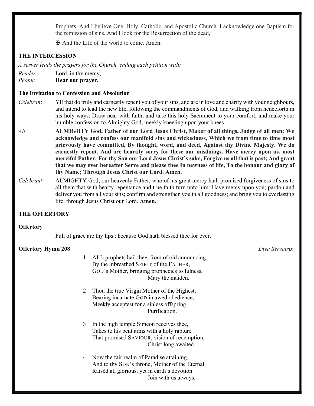Prophets. And I believe One, Holy, Catholic, and Apostolic Church. I acknowledge one Baptism for the remission of sins. And I look for the Resurrection of the dead,

✠ And the Life of the world to come. Amen.

# THE INTERCESSION

A server leads the prayers for the Church, ending each petition with:

Reader Lord, in thy mercy,

People **Hear our prayer.** 

# The Invitation to Confession and Absolution

- Celebrant YE that do truly and earnestly repent you of your sins, and are in love and charity with your neighbours, and intend to lead the new life, following the commandments of God, and walking from henceforth in his holy ways: Draw near with faith, and take this holy Sacrament to your comfort; and make your humble confession to Almighty God, meekly kneeling upon your knees.
- All **ALMIGHTY God, Father of our Lord Jesus Christ, Maker of all things, Judge of all men: We** acknowledge and confess our manifold sins and wickedness, Which we from time to time most grievously have committed, By thought, word, and deed, Against thy Divine Majesty. We do earnestly repent, And are heartily sorry for these our misdoings. Have mercy upon us, most merciful Father; For thy Son our Lord Jesus Christ's sake, Forgive us all that is past; And grant that we may ever hereafter Serve and please thee In newness of life, To the honour and glory of thy Name; Through Jesus Christ our Lord. Amen.
- Celebrant ALMIGHTY God, our heavenly Father, who of his great mercy hath promised forgiveness of sins to all them that with hearty repentance and true faith turn unto him: Have mercy upon you; pardon and deliver you from all your sins; confirm and strengthen you in all goodness; and bring you to everlasting life; through Jesus Christ our Lord. Amen.

# THE OFFERTORY

# **Offertory**

Full of grace are thy lips : because God hath blessed thee for ever.

# **Offertory Hymn 208** Diva Servatrix

- 1 ALL prophets hail thee, from of old announcing, By the inbreathèd SPIRIT of the FATHER, GOD's Mother, bringing prophecies to fulness, Mary the maiden.
- 2 Thou the true Virgin Mother of the Highest, Bearing incarnate GOD in awed obedience, Meekly acceptest for a sinless offspring Purification.
- 3 In the high temple Simeon receives thee, Takes to his bent arms with a holy rapture That promised SAVIOUR, vision of redemption, Christ long awaited.
- 4 Now the fair realm of Paradise attaining, And to thy SON's throne, Mother of the Eternal, Raisèd all glorious, yet in earth's devotion Join with us always.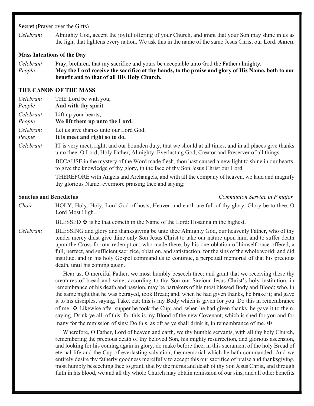### Secret (Prayer over the Gifts)

Celebrant Almighty God, accept the joyful offering of your Church, and grant that your Son may shine in us as the light that lightens every nation. We ask this in the name of the same Jesus Christ our Lord. Amen.

# Mass Intentions of the Day

- Celebrant Pray, brethren, that my sacrifice and yours be acceptable unto God the Father almighty.
- People May the Lord receive the sacrifice at thy hands, to the praise and glory of His Name, both to our benefit and to that of all His Holy Church.

# THE CANON OF THE MASS

| THE Lord be with you;<br>And with thy spirit.                                                                                                                                                               |
|-------------------------------------------------------------------------------------------------------------------------------------------------------------------------------------------------------------|
| Lift up your hearts;<br>We lift them up unto the Lord.                                                                                                                                                      |
| Let us give thanks unto our Lord God;<br>It is meet and right so to do.                                                                                                                                     |
| IT is very meet, right, and our bounden duty, that we should at all times, and in all places give thanks<br>unto thee, O Lord, Holy Father, Almighty, Everlasting God, Creator and Preserver of all things. |
| BECAUSE in the mystery of the Word made flesh, thou hast caused a new light to shine in our hearts,<br>to give the knowledge of thy glory, in the face of thy Son Jesus Christ our Lord.                    |
| THEREFORE with Angels and Archangels, and with all the company of heaven, we laud and magnify<br>thy glorious Name; evermore praising thee and saying:                                                      |
|                                                                                                                                                                                                             |

Sanctus and Benedictus **Sanctus** Communion Service in F major

Choir HOLY, Holy, Holy, Lord God of hosts, Heaven and earth are full of thy glory. Glory be to thee, O Lord Most High.

BLESSED  $\mathbf \Psi$  is he that cometh in the Name of the Lord: Hosanna in the highest.

Celebrant BLESSING and glory and thanksgiving be unto thee Almighty God, our heavenly Father, who of thy tender mercy didst give thine only Son Jesus Christ to take our nature upon him, and to suffer death upon the Cross for our redemption; who made there, by his one oblation of himself once offered, a full, perfect, and sufficient sacrifice, oblation, and satisfaction, for the sins of the whole world; and did institute, and in his holy Gospel command us to continue, a perpetual memorial of that his precious death, until his coming again.

> Hear us, O merciful Father, we most humbly beseech thee; and grant that we receiving these thy creatures of bread and wine, according to thy Son our Saviour Jesus Christ's holy institution, in remembrance of his death and passion, may be partakers of his most blessed Body and Blood; who, in the same night that he was betrayed, took Bread; and, when he had given thanks, he brake it; and gave it to his disciples, saying, Take, eat; this is my Body which is given for you: Do this in remembrance of me.  $\mathbf{\Psi}$  Likewise after supper he took the Cup; and, when he had given thanks, he gave it to them, saying, Drink ye all, of this; for this is my Blood of the new Covenant, which is shed for you and for many for the remission of sins: Do this, as oft as ye shall drink it, in remembrance of me.  $\mathbf{\mathbf{\Phi}}$

> Wherefore, O Father, Lord of heaven and earth, we thy humble servants, with all thy holy Church, remembering the precious death of thy beloved Son, his mighty resurrection, and glorious ascension, and looking for his coming again in glory, do make before thee, in this sacrament of the holy Bread of eternal life and the Cup of everlasting salvation, the memorial which he hath commanded; And we entirely desire thy fatherly goodness mercifully to accept this our sacrifice of praise and thanksgiving, most humbly beseeching thee to grant, that by the merits and death of thy Son Jesus Christ, and through faith in his blood, we and all thy whole Church may obtain remission of our sins, and all other benefits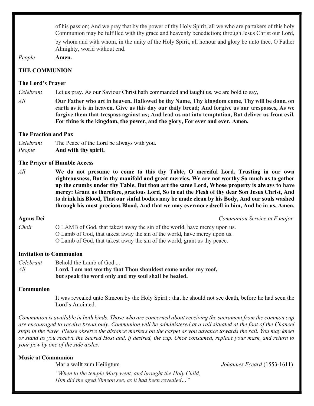of his passion; And we pray that by the power of thy Holy Spirit, all we who are partakers of this holy Communion may be fulfilled with thy grace and heavenly benediction; through Jesus Christ our Lord, by whom and with whom, in the unity of the Holy Spirit, all honour and glory be unto thee, O Father

Almighty, world without end.

People Amen.

# THE COMMUNION

# The Lord's Prayer

Celebrant Let us pray. As our Saviour Christ hath commanded and taught us, we are bold to say,

 $All$  Our Father who art in heaven, Hallowed be thy Name, Thy kingdom come, Thy will be done, on earth as it is in heaven. Give us this day our daily bread; And forgive us our trespasses, As we forgive them that trespass against us; And lead us not into temptation, But deliver us from evil. For thine is the kingdom, the power, and the glory, For ever and ever. Amen.

# The Fraction and Pax

Celebrant The Peace of the Lord be always with you. People And with thy spirit.

# The Prayer of Humble Access

 $All$  We do not presume to come to this thy Table, O merciful Lord, Trusting in our own righteousness, But in thy manifold and great mercies. We are not worthy So much as to gather up the crumbs under thy Table. But thou art the same Lord, Whose property is always to have mercy: Grant us therefore, gracious Lord, So to eat the Flesh of thy dear Son Jesus Christ, And to drink his Blood, That our sinful bodies may be made clean by his Body, And our souls washed through his most precious Blood, And that we may evermore dwell in him, And he in us. Amen.

Agnus Dei Communion Service in F major

Choir O LAMB of God, that takest away the sin of the world, have mercy upon us. O Lamb of God, that takest away the sin of the world, have mercy upon us. O Lamb of God, that takest away the sin of the world, grant us thy peace.

# Invitation to Communion

Celebrant Behold the Lamb of God ... All Lord, I am not worthy that Thou shouldest come under my roof, but speak the word only and my soul shall be healed.

# Communion

 It was revealed unto Simeon by the Holy Spirit : that he should not see death, before he had seen the Lord's Anointed.

Communion is available in both kinds. Those who are concerned about receiving the sacrament from the common cup are encouraged to receive bread only. Communion will be administered at a rail situated at the foot of the Chancel steps in the Nave. Please observe the distance markers on the carpet as you advance towards the rail. You may kneel or stand as you receive the Sacred Host and, if desired, the cup. Once consumed, replace your mask, and return to your pew by one of the side aisles.

# Music at Communion

Maria wallt zum Heiligtum  $Johannes Eccard (1553-1611)$ 

"When to the temple Mary went, and brought the Holy Child, Him did the aged Simeon see, as it had been revealed…"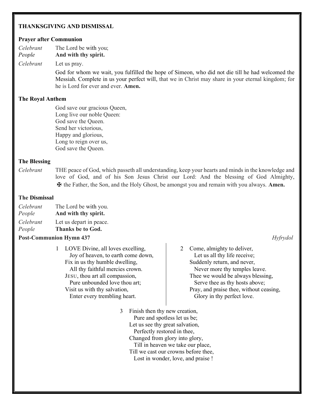# THANKSGIVING AND DISMISSAL

### Prayer after Communion

Celebrant The Lord be with you; People **And with thy spirit.** 

Celebrant Let us pray.

 God for whom we wait, you fulfilled the hope of Simeon, who did not die till he had welcomed the Messiah. Complete in us your perfect will, that we in Christ may share in your eternal kingdom; for he is Lord for ever and ever. Amen.

### The Royal Anthem

 God save our gracious Queen, Long live our noble Queen: God save the Queen. Send her victorious, Happy and glorious, Long to reign over us, God save the Queen.

### The Blessing

Celebrant THE peace of God, which passeth all understanding, keep your hearts and minds in the knowledge and love of God, and of his Son Jesus Christ our Lord: And the blessing of God Almighty, ✠ the Father, the Son, and the Holy Ghost, be amongst you and remain with you always. Amen.

### The Dismissal

| Celebrant | The Lord be with you. |
|-----------|-----------------------|
| People    | And with thy spirit.  |

| Celebrant | Let us depart in peace. |
|-----------|-------------------------|

People Thanks be to God.

### **Post-Communion Hymn 437** Hyfrydol

1 LOVE Divine, all loves excelling, Joy of heaven, to earth come down, Fix in us thy humble dwelling, All thy faithful mercies crown. JESU, thou art all compassion, Pure unbounded love thou art; Visit us with thy salvation, Enter every trembling heart.

2 Come, almighty to deliver, Let us all thy life receive; Suddenly return, and never, Never more thy temples leave.

Thee we would be always blessing, Serve thee as thy hosts above; Pray, and praise thee, without ceasing, Glory in thy perfect love.

3 Finish then thy new creation, Pure and spotless let us be; Let us see thy great salvation, Perfectly restored in thee, Changed from glory into glory, Till in heaven we take our place, Till we cast our crowns before thee, Lost in wonder, love, and praise !